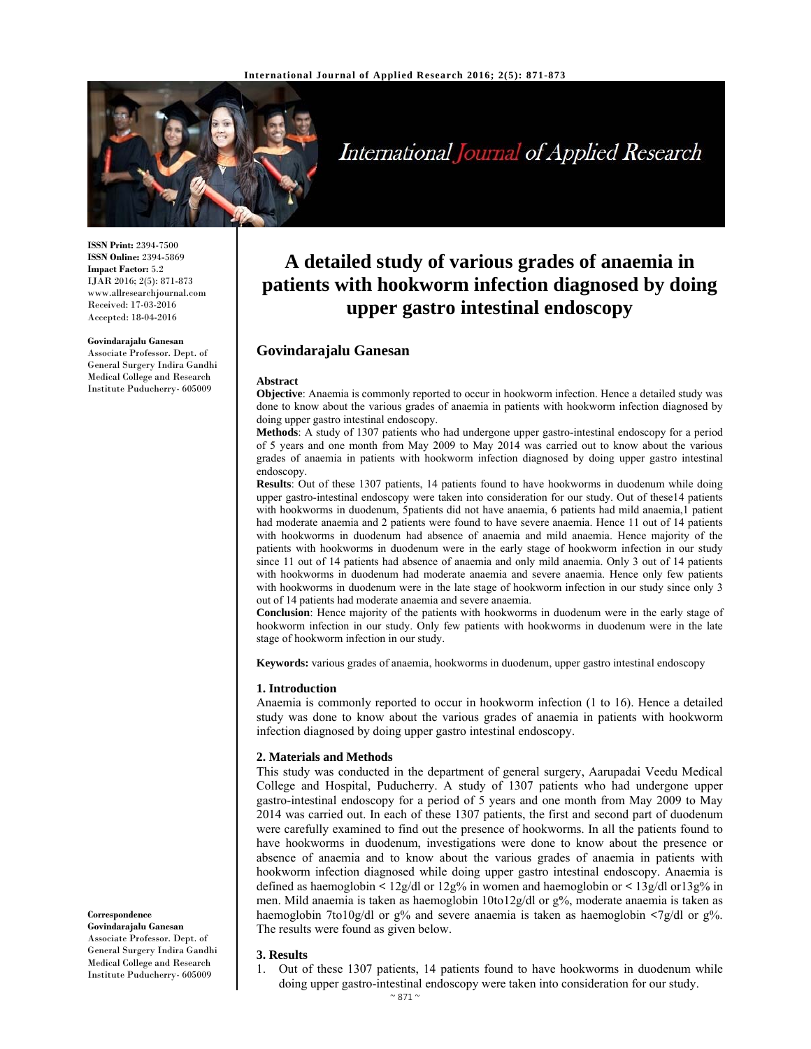

# International Journal of Applied Research

**ISSN Print:** 2394-7500 **ISSN Online:** 2394-5869 **Impact Factor:** 5.2 IJAR 2016; 2(5): 871-873 www.allresearchjournal.com Received: 17-03-2016 Accepted: 18-04-2016

#### **Govindarajalu Ganesan**

Associate Professor. Dept. of General Surgery Indira Gandhi Medical College and Research Institute Puducherry- 605009

## **A detailed study of various grades of anaemia in patients with hookworm infection diagnosed by doing upper gastro intestinal endoscopy**

## **Govindarajalu Ganesan**

#### **Abstract**

**Objective**: Anaemia is commonly reported to occur in hookworm infection. Hence a detailed study was done to know about the various grades of anaemia in patients with hookworm infection diagnosed by doing upper gastro intestinal endoscopy.

**Methods**: A study of 1307 patients who had undergone upper gastro-intestinal endoscopy for a period of 5 years and one month from May 2009 to May 2014 was carried out to know about the various grades of anaemia in patients with hookworm infection diagnosed by doing upper gastro intestinal endoscopy.

**Results**: Out of these 1307 patients, 14 patients found to have hookworms in duodenum while doing upper gastro-intestinal endoscopy were taken into consideration for our study. Out of these14 patients with hookworms in duodenum, 5patients did not have anaemia, 6 patients had mild anaemia,1 patient had moderate anaemia and 2 patients were found to have severe anaemia. Hence 11 out of 14 patients with hookworms in duodenum had absence of anaemia and mild anaemia. Hence majority of the patients with hookworms in duodenum were in the early stage of hookworm infection in our study since 11 out of 14 patients had absence of anaemia and only mild anaemia. Only 3 out of 14 patients with hookworms in duodenum had moderate anaemia and severe anaemia. Hence only few patients with hookworms in duodenum were in the late stage of hookworm infection in our study since only 3 out of 14 patients had moderate anaemia and severe anaemia.

**Conclusion**: Hence majority of the patients with hookworms in duodenum were in the early stage of hookworm infection in our study. Only few patients with hookworms in duodenum were in the late stage of hookworm infection in our study.

**Keywords:** various grades of anaemia, hookworms in duodenum, upper gastro intestinal endoscopy

#### **1. Introduction**

Anaemia is commonly reported to occur in hookworm infection (1 to 16). Hence a detailed study was done to know about the various grades of anaemia in patients with hookworm infection diagnosed by doing upper gastro intestinal endoscopy.

#### **2. Materials and Methods**

This study was conducted in the department of general surgery, Aarupadai Veedu Medical College and Hospital, Puducherry. A study of 1307 patients who had undergone upper gastro-intestinal endoscopy for a period of 5 years and one month from May 2009 to May 2014 was carried out. In each of these 1307 patients, the first and second part of duodenum were carefully examined to find out the presence of hookworms. In all the patients found to have hookworms in duodenum, investigations were done to know about the presence or absence of anaemia and to know about the various grades of anaemia in patients with hookworm infection diagnosed while doing upper gastro intestinal endoscopy. Anaemia is defined as haemoglobin **<** 12g/dl or 12g% in women and haemoglobin or **<** 13g/dl or13g% in men. Mild anaemia is taken as haemoglobin 10to12g/dl or g%, moderate anaemia is taken as haemoglobin 7to10g/dl or g% and severe anaemia is taken as haemoglobin **<**7g/dl or g%. The results were found as given below.

### **3. Results**

1. Out of these 1307 patients, 14 patients found to have hookworms in duodenum while doing upper gastro-intestinal endoscopy were taken into consideration for our study.

## **Correspondence**

**Govindarajalu Ganesan**  Associate Professor. Dept. of General Surgery Indira Gandhi Medical College and Research Institute Puducherry- 605009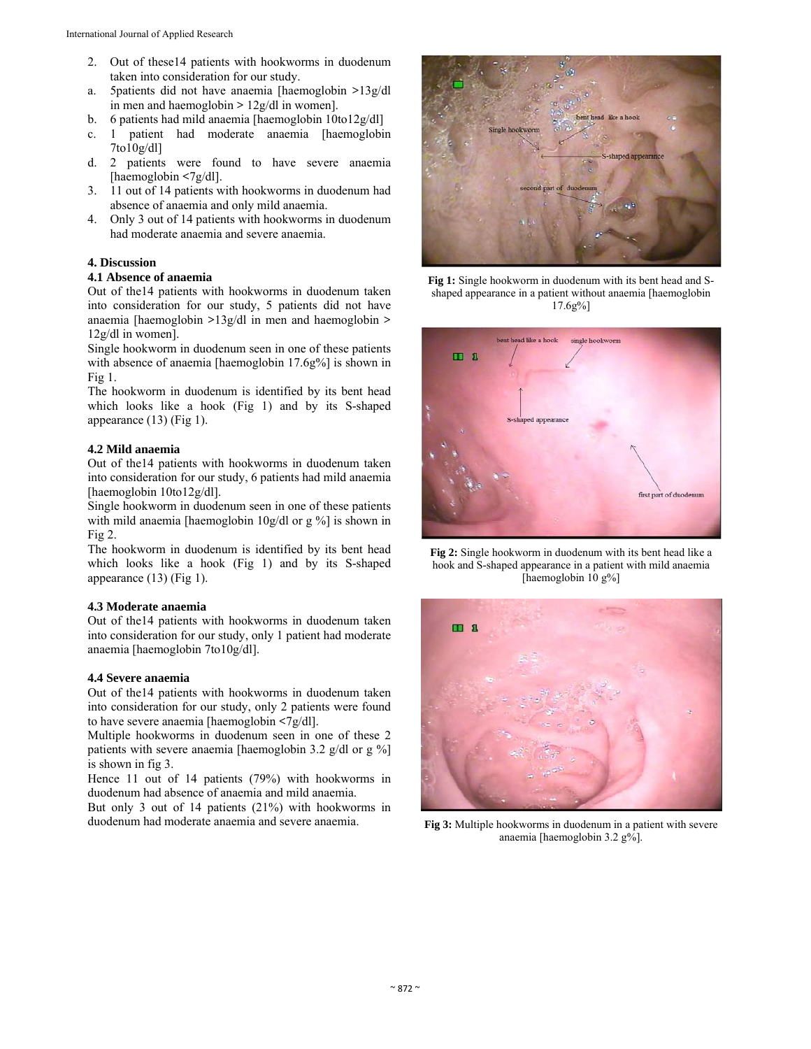- 2. Out of these14 patients with hookworms in duodenum taken into consideration for our study.
- a. 5patients did not have anaemia [haemoglobin **>**13g/dl in men and haemoglobin **>** 12g/dl in women].
- b. 6 patients had mild anaemia [haemoglobin 10to12g/dl]
- c. 1 patient had moderate anaemia [haemoglobin 7to10g/dl]
- d. 2 patients were found to have severe anaemia [haemoglobin **<**7g/dl].
- 3. 11 out of 14 patients with hookworms in duodenum had absence of anaemia and only mild anaemia.
- 4. Only 3 out of 14 patients with hookworms in duodenum had moderate anaemia and severe anaemia.

## **4. Discussion**

## **4.1 Absence of anaemia**

Out of the14 patients with hookworms in duodenum taken into consideration for our study, 5 patients did not have anaemia [haemoglobin **>**13g/dl in men and haemoglobin **>** 12g/dl in women].

Single hookworm in duodenum seen in one of these patients with absence of anaemia [haemoglobin 17.6g%] is shown in Fig 1.

The hookworm in duodenum is identified by its bent head which looks like a hook (Fig 1) and by its S-shaped appearance (13) (Fig 1).

## **4.2 Mild anaemia**

Out of the14 patients with hookworms in duodenum taken into consideration for our study, 6 patients had mild anaemia [haemoglobin 10to12g/dl].

Single hookworm in duodenum seen in one of these patients with mild anaemia [haemoglobin 10g/dl or g %] is shown in  $Fig 2.$ 

The hookworm in duodenum is identified by its bent head which looks like a hook (Fig 1) and by its S-shaped appearance (13) (Fig 1).

## **4.3 Moderate anaemia**

Out of the14 patients with hookworms in duodenum taken into consideration for our study, only 1 patient had moderate anaemia [haemoglobin 7to10g/dl].

## **4.4 Severe anaemia**

Out of the14 patients with hookworms in duodenum taken into consideration for our study, only 2 patients were found to have severe anaemia [haemoglobin **<**7g/dl].

Multiple hookworms in duodenum seen in one of these 2 patients with severe anaemia [haemoglobin 3.2 g/dl or g %] is shown in fig 3.

Hence 11 out of 14 patients (79%) with hookworms in duodenum had absence of anaemia and mild anaemia.

But only 3 out of 14 patients (21%) with hookworms in duodenum had moderate anaemia and severe anaemia.



**Fig 1:** Single hookworm in duodenum with its bent head and Sshaped appearance in a patient without anaemia [haemoglobin 17.6g%]



**Fig 2:** Single hookworm in duodenum with its bent head like a hook and S-shaped appearance in a patient with mild anaemia [haemoglobin 10 g%]



**Fig 3:** Multiple hookworms in duodenum in a patient with severe anaemia [haemoglobin 3.2 g%].